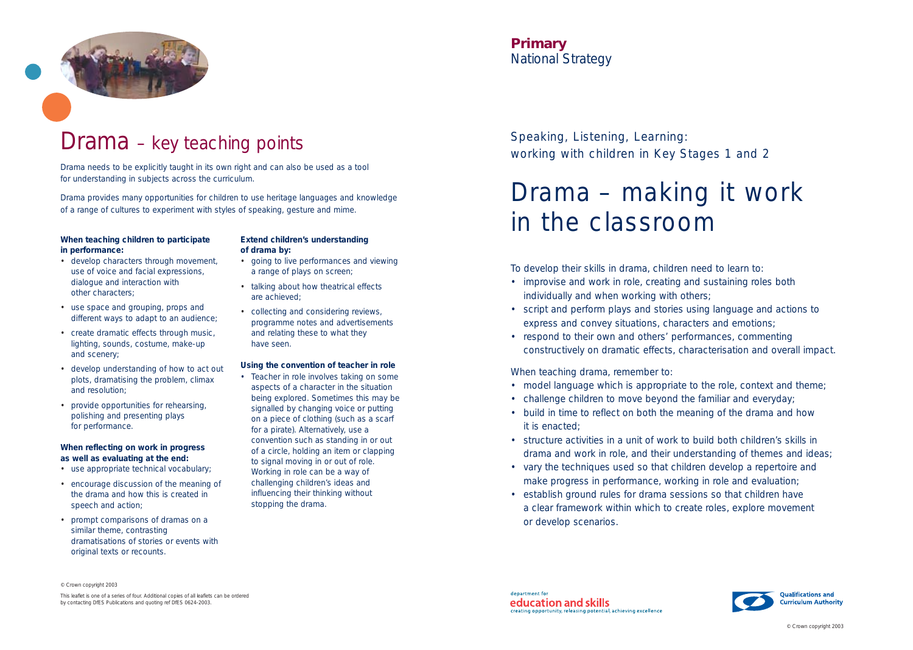

### Drama – key teaching points

Speaking, Listening, Learning: working with children in Key Stages 1 and 2

# Drama – making it work in the classroom

#### **Primary** *National Strategy*

To develop their skills in drama, children need to learn to:

- improvise and work in role, creating and sustaining roles both individually and when working with others;
- script and perform plays and stories using language and actions to express and convey situations, characters and emotions;
- respond to their own and others' performances, commenting constructively on dramatic effects, characterisation and overall impact.

When teaching drama, remember to:

- model language which is appropriate to the role, context and theme;
- challenge children to move beyond the familiar and everyday;
- build in time to reflect on both the meaning of the drama and how it is enacted;
- structure activities in a unit of work to build both children's skills in drama and work in role, and their understanding of themes and ideas;
- vary the techniques used so that children develop a repertoire and make progress in performance, working in role and evaluation;
- establish ground rules for drama sessions so that children have a clear framework within which to create roles, explore movement or develop scenarios.

Drama needs to be explicitly taught in its own right and can also be used as a tool for understanding in subjects across the curriculum.

Drama provides many opportunities for children to use heritage languages and knowledge of a range of cultures to experiment with styles of speaking, gesture and mime.

© Crown copyright 2003

This leaflet is one of a series of four. Additional copies of all leaflets can be ordered by contacting DfES Publications and quoting ref DfES 0624-2003.

department for education and skills creating opportunity, releasing potential, achieving excellence



#### **When teaching children to participate in performance:**

- develop characters through movement, use of voice and facial expressions, dialogue and interaction with other characters;
- use space and grouping, props and different ways to adapt to an audience;
- create dramatic effects through music, lighting, sounds, costume, make-up and scenery;
- develop understanding of how to act out plots, dramatising the problem, climax and resolution;
- provide opportunities for rehearsing, polishing and presenting plays for performance.

#### **When reflecting on work in progress as well as evaluating at the end:**

- use appropriate technical vocabulary;
- encourage discussion of the meaning of the drama and how this is created in speech and action;
- prompt comparisons of dramas on a similar theme, contrasting dramatisations of stories or events with original texts or recounts.

#### **Extend children's understanding of drama by:**

- going to live performances and viewing a range of plays on screen;
- talking about how theatrical effects are achieved;
- collecting and considering reviews, programme notes and advertisements and relating these to what they have seen.

#### **Using the convention of teacher in role**

• Teacher in role involves taking on some aspects of a character in the situation being explored. Sometimes this may be signalled by changing voice or putting on a piece of clothing (such as a scarf for a pirate). Alternatively, use a convention such as standing in or out of a circle, holding an item or clapping to signal moving in or out of role. Working in role can be a way of challenging children's ideas and influencing their thinking without stopping the drama.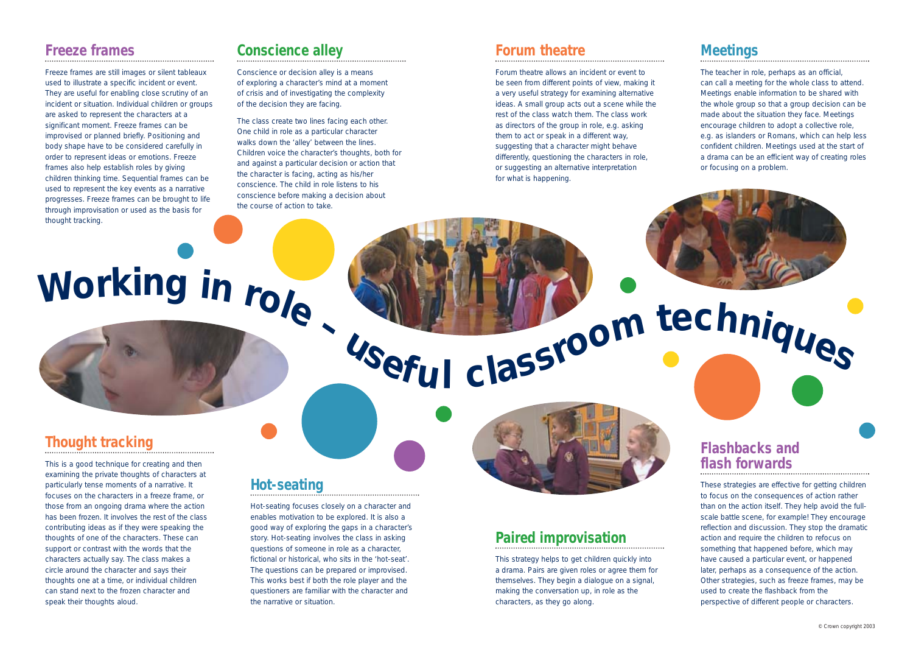#### **Freeze frames**

Freeze frames are still images or silent tableaux used to illustrate a specific incident or event. They are useful for enabling close scrutiny of an incident or situation. Individual children or groups are asked to represent the characters at a significant moment. Freeze frames can be improvised or planned briefly. Positioning and body shape have to be considered carefully in order to represent ideas or emotions. Freeze frames also help establish roles by giving children thinking time. Sequential frames can be used to represent the key events as a narrative progresses. Freeze frames can be brought to life through improvisation or used as the basis for thought tracking.

#### **Conscience alley**

Conscience or decision alley is a means of exploring a character's mind at a moment of crisis and of investigating the complexity of the decision they are facing.

The class create two lines facing each other. One child in role as a particular character walks down the 'alley' between the lines. Children voice the character's thoughts, both for and against a particular decision or action that the character is facing, acting as his/her conscience. The child in role listens to his conscience before making a decision about the course of action to take.

#### **Thought tracking**

This is a good technique for creating and then examining the private thoughts of characters at particularly tense moments of a narrative. It focuses on the characters in a freeze frame, or those from an ongoing drama where the action has been frozen. It involves the rest of the class contributing ideas as if they were speaking the thoughts of one of the characters. These can support or contrast with the words that the characters actually say. The class makes a circle around the character and says their thoughts one at a time, or individual children can stand next to the frozen character and speak their thoughts aloud.

#### **Hot-seating**

Hot-seating focuses closely on a character and enables motivation to be explored. It is also a good way of exploring the gaps in a character's story. Hot-seating involves the class in asking questions of someone in role as a character, fictional or historical, who sits in the 'hot-seat'. The questions can be prepared or improvised. This works best if both the role player and the questioners are familiar with the character and the narrative or situation.

# **Paired improvisation**

This strategy helps to get children quickly into a drama. Pairs are given roles or agree them for themselves. They begin a dialogue on a signal, making the conversation up, in role as the characters, as they go along.

#### **Forum theatre**

Forum theatre allows an incident or event to be seen from different points of view, making it a very useful strategy for examining alternative ideas. A small group acts out a scene while the rest of the class watch them. The class work as directors of the group in role, e.g. asking them to act or speak in a different way, suggesting that a character might behave differently, questioning the characters in role, or suggesting an alternative interpretation for what is happening.

# Working in role Vseful classroom techniques

#### **Flashbacks and flash forwards**

These strategies are effective for getting children to focus on the consequences of action rather than on the action itself. They help avoid the fullscale battle scene, for example! They encourage reflection and discussion. They stop the dramatic action and require the children to refocus on something that happened before, which may have caused a particular event, or happened later, perhaps as a consequence of the action. Other strategies, such as freeze frames, may be used to create the flashback from the perspective of different people or characters.

#### **Meetings**

The teacher in role, perhaps as an official, can call a meeting for the whole class to attend. Meetings enable information to be shared with the whole group so that a group decision can be made about the situation they face. Meetings encourage children to adopt a collective role, e.g. as islanders or Romans, which can help less confident children. Meetings used at the start of a drama can be an efficient way of creating roles or focusing on a problem.

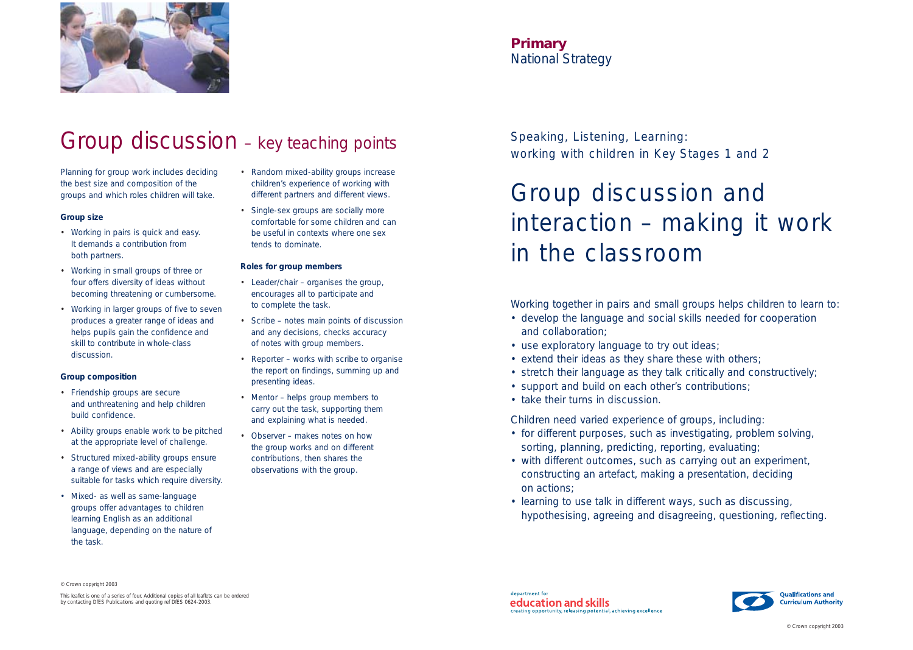Speaking, Listening, Learning: working with children in Key Stages 1 and 2

## Group discussion and interaction – making it work in the classroom

**Primary** *National Strategy*

Working together in pairs and small groups helps children to learn to: • develop the language and social skills needed for cooperation

- and collaboration;
- use exploratory language to try out ideas;
- extend their ideas as they share these with others;
- stretch their language as they talk critically and constructively;
- support and build on each other's contributions;
- take their turns in discussion.

Children need varied experience of groups, including: • for different purposes, such as investigating, problem solving, sorting, planning, predicting, reporting, evaluating; • with different outcomes, such as carrying out an experiment, constructing an artefact, making a presentation, deciding

- 
- on actions;
- learning to use talk in different ways, such as discussing, hypothesising, agreeing and disagreeing, questioning, reflecting.



### Group discussion – key teaching points

© Crown copyright 2003

This leaflet is one of a series of four. Additional copies of all leaflets can be ordered by contacting DfES Publications and quoting ref DfES 0624-2003.

department for education and skills creating opportunity, releasing potential, achieving excellence



Planning for group work includes deciding the best size and composition of the groups and which roles children will take.

#### **Group size**

- Working in pairs is quick and easy. It demands a contribution from both partners.
- Working in small groups of three or four offers diversity of ideas without becoming threatening or cumbersome.
- Working in larger groups of five to seven produces a greater range of ideas and helps pupils gain the confidence and skill to contribute in whole-class discussion.

#### **Group composition**

- Friendship groups are secure and unthreatening and help children build confidence.
- Ability groups enable work to be pitched at the appropriate level of challenge.
- Structured mixed-ability groups ensure a range of views and are especially suitable for tasks which require diversity.
- Mixed- as well as same-language groups offer advantages to children learning English as an additional language, depending on the nature of the task.
- Random mixed-ability groups increase children's experience of working with different partners and different views.
- Single-sex groups are socially more comfortable for some children and can be useful in contexts where one sex tends to dominate.

#### **Roles for group members**

- Leader/chair organises the group, encourages all to participate and to complete the task.
- Scribe notes main points of discussion and any decisions, checks accuracy of notes with group members.
- Reporter works with scribe to organise the report on findings, summing up and presenting ideas.
- Mentor helps group members to carry out the task, supporting them and explaining what is needed.
- Observer makes notes on how the group works and on different contributions, then shares the observations with the group.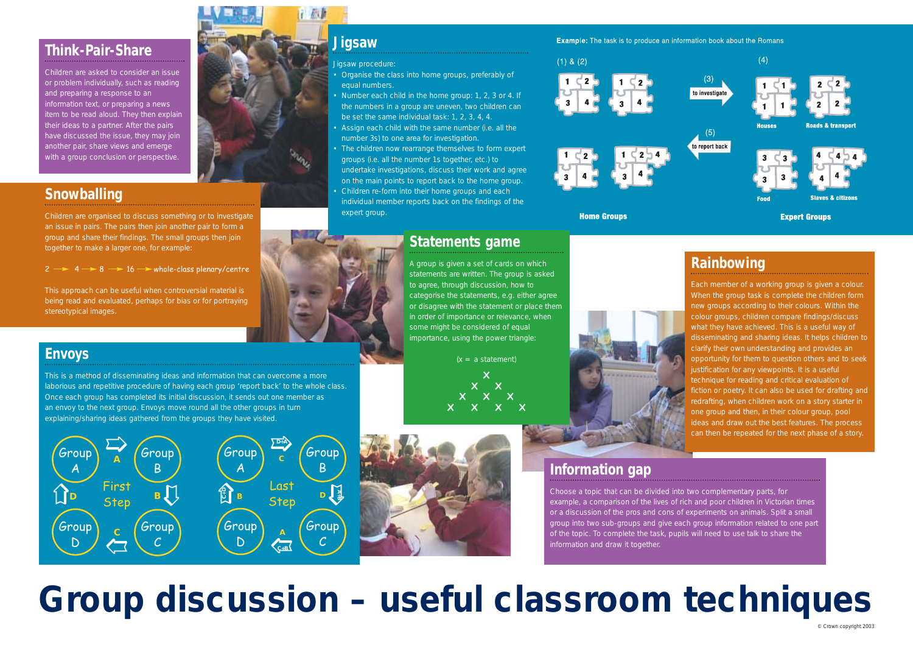# **Group discussion – useful classroom techniques**



#### **Think-Pair-Share**

Children are asked to consider an issue or problem individually, such as reading and preparing a response to an information text, or preparing a news item to be read aloud. They then explain their ideas to a partner. After the pairs have discussed the issue, they may join another pair, share views and emerge with a group conclusion or perspective.

#### **Snowballing**

Children are organised to discuss something or to investigate an issue in pairs. The pairs then join another pair to form a group and share their findings. The small groups then join together to make a larger one, for example:

 $2 \rightarrow 4 \rightarrow 8 \rightarrow 16 \rightarrow$  whole-class plenary/centre

This approach can be useful when controversial material is being read and evaluated, perhaps for bias or for portraying stereotypical images.



#### **Information gap**

Choose a topic that can be divided into two complementary parts, for example, a comparison of the lives of rich and poor children in Victorian times or a discussion of the pros and cons of experiments on animals. Split a small group into two sub-groups and give each group information related to one part of the topic. To complete the task, pupils will need to use talk to share the information and draw it together.

#### **Rainbowing**

Each member of a working group is given a colour. When the group task is complete the children form new groups according to their colours. Within the colour groups, children compare findings/discuss what they have achieved. This is a useful way of disseminating and sharing ideas. It helps children to clarify their own understanding and provides an opportunity for them to question others and to seek justification for any viewpoints. It is a useful technique for reading and critical evaluation of fiction or poetry. It can also be used for drafting and redrafting, when children work on a story starter in one group and then, in their colour group, pool ideas and draw out the best features. The process can then be repeated for the next phase of a story.

#### **Envoys**

This is a method of disseminating ideas and information that can overcome a more laborious and repetitive procedure of having each group 'report back' to the whole class. Once each group has completed its initial discussion, it sends out one member as an envoy to the next group. Envoys move round all the other groups in turn explaining/sharing ideas gathered from the groups they have visited.



#### **Jigsaw**

Jigsaw procedure:

- Organise the class into home groups, preferably of equal numbers.
- Number each child in the home group: 1, 2, 3 or 4. If the numbers in a group are uneven, two children can be set the same individual task: 1, 2, 3, 4, 4.
- Assign each child with the same number (i.e. all the number 3s) to one area for investigation.
- The children now rearrange themselves to form expert groups (i.e. all the number 1s together, etc.) to undertake investigations, discuss their work and agree on the main points to report back to the home group.
- Children re-form into their home groups and each individual member reports back on the findings of the expert group.



#### $(1)$  &  $(2)$





**Home Groups** 



#### **Statements game**

A group is given a set of cards on which statements are written. The group is asked to agree, through discussion, how to categorise the statements, e.g. either agree or disagree with the statement or place them in order of importance or relevance, when some might be considered of equal importance, using the power triangle:

 $(x = a statement)$ 

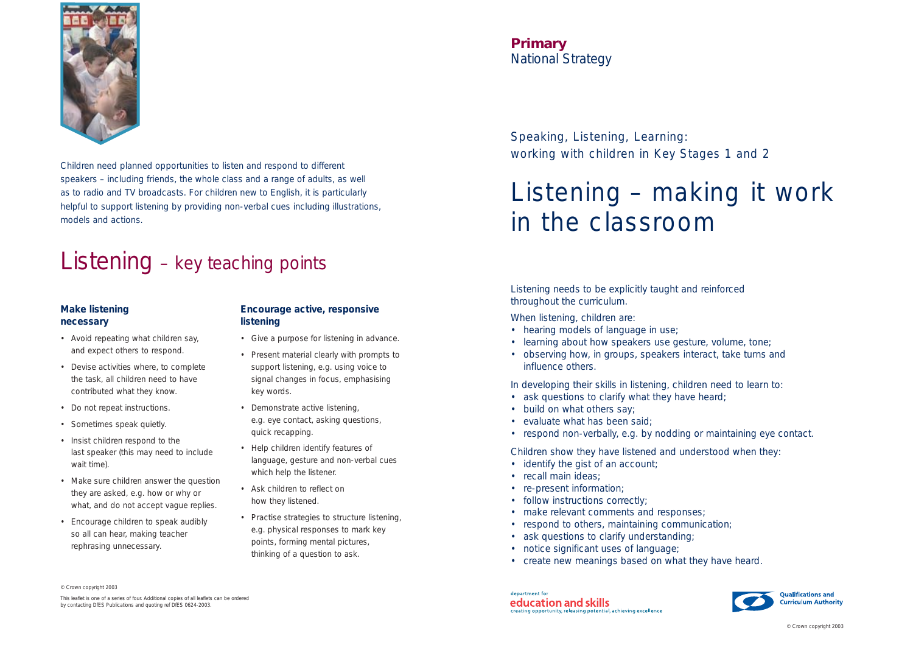Speaking, Listening, Learning: working with children in Key Stages 1 and 2

# Listening – making it work in the classroom

**Primary** *National Strategy*

Listening needs to be explicitly taught and reinforced throughout the curriculum.

When listening, children are:

- 
- build on what others say;
- evaluate what has been said;
- 
- hearing models of language in use;
- learning about how speakers use gesture, volume, tone;
- observing how, in groups, speakers interact, take turns and influence others.

In developing their skills in listening, children need to learn to: • ask questions to clarify what they have heard;

- identify the gist of an account;
- recall main ideas;
- re-present information;
- follow instructions correctly;
- make relevant comments and responses;
- respond to others, maintaining communication;
- ask questions to clarify understanding;
- notice significant uses of language;
- create new meanings based on what they have heard.

department for education and skills creating opportunity, releasing potential, achieving excellence

• respond non-verbally, e.g. by nodding or maintaining eye contact. Children show they have listened and understood when they:



Children need planned opportunities to listen and respond to different speakers – including friends, the whole class and a range of adults, as well as to radio and TV broadcasts. For children new to English, it is particularly helpful to support listening by providing non-verbal cues including illustrations, models and actions.

## Listening – key teaching points

© Crown copyright 2003

This leaflet is one of a series of four. Additional copies of all leaflets can be ordered by contacting DfES Publications and quoting ref DfES 0624-2003.



#### **Make listening necessary**

- Avoid repeating what children say, and expect others to respond.
- Devise activities where, to complete the task, all children need to have contributed what they know.
- Do not repeat instructions.
- Sometimes speak quietly.
- Insist children respond to the last speaker (this may need to include wait time).
- Make sure children answer the question they are asked, e.g. how or why or what, and do not accept vague replies.
- Encourage children to speak audibly so all can hear, making teacher rephrasing unnecessary.

#### **Encourage active, responsive listening**

- Give a purpose for listening in advance.
- Present material clearly with prompts to support listening, e.g. using voice to signal changes in focus, emphasising key words.
- Demonstrate active listening, e.g. eye contact, asking questions, quick recapping.
- Help children identify features of language, gesture and non-verbal cues which help the listener.
- Ask children to reflect on how they listened.
- Practise strategies to structure listening, e.g. physical responses to mark key points, forming mental pictures, thinking of a question to ask.

© Crown copyright 2003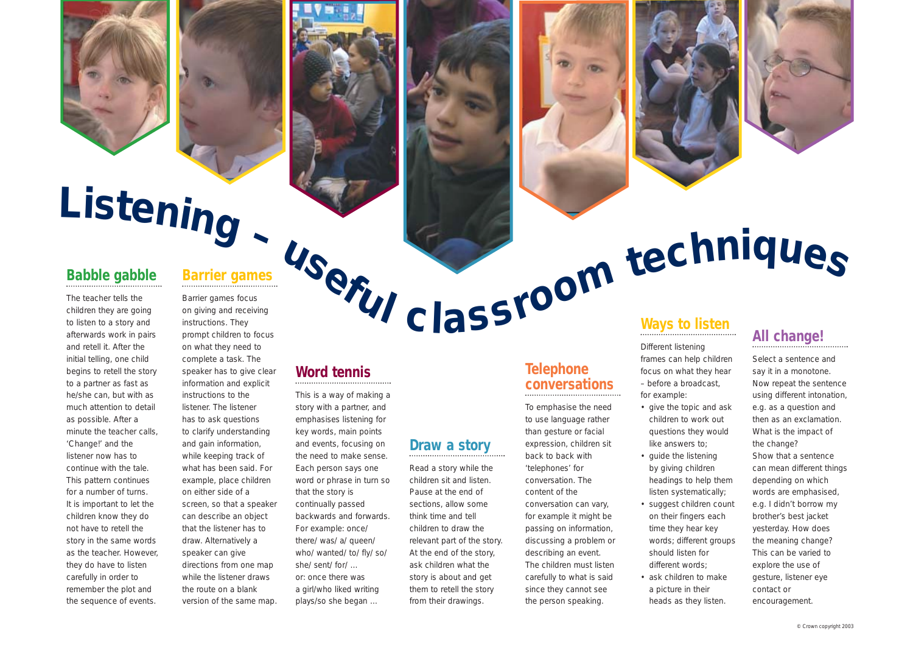





# Listening -  $\frac{1}{\sum_{\text{Bubble galble}}$

#### **Word tennis**

This is a way of making a story with a partner, and emphasises listening for key words, main points and events, focusing on the need to make sense. Each person says one word or phrase in turn so that the story is continually passed backwards and forwards. For example: *once/ there/ was/ a/ queen/ who/ wanted/ to/ fly/ so/ she/ sent/ for/ …* or: *once there was a girl/who liked writing plays/so she began …*

#### **Babble gabble**

The teacher tells the children they are going to listen to a story and afterwards work in pairs and retell it. After the initial telling, one child begins to retell the story to a partner as fast as he/she can, but with as much attention to detail as possible. After a minute the teacher calls, 'Change!' and the listener now has to continue with the tale. This pattern continues for a number of turns. It is important to let the children know they do not have to retell the story in the same words as the teacher. However, they do have to listen carefully in order to remember the plot and the sequence of events.

#### **Draw a story**

Read a story while the children sit and listen. Pause at the end of sections, allow some think time and tell children to draw the relevant part of the story. At the end of the story, ask children what the story is about and get them to retell the story from their drawings.

**Telephone**

#### **conversations** To emphasise the need to use language rather than gesture or facial expression, children sit

back to back with 'telephones' for conversation. The content of the conversation can vary, for example it might be passing on information, discussing a problem or describing an event. The children must listen carefully to what is said since they cannot see the person speaking.



#### **Barrier games**

Barrier games focus on giving and receiving instructions. They prompt children to focus on what they need to complete a task. The speaker has to give clear information and explicit instructions to the listener. The listener has to ask questions to clarify understanding and gain information, while keeping track of what has been said. For example, place children on either side of a screen, so that a speaker can describe an object that the listener has to draw. Alternatively a speaker can give directions from one map while the listener draws the route on a blank version of the same map.

Different listening frames can help children focus on what they hear – before a broadcast, for example:

• give the topic and ask children to work out questions they would like answers to; by giving children headings to help them listen systematically; • suggest children count on their fingers each time they hear key words; different groups • ask children to make

- 
- guide the listening
	- should listen for
- a picture in their heads as they listen.
- different words;

#### **All change!**

Select a sentence and say it in a monotone. Now repeat the sentence using different intonation, e.g. as a question and then as an exclamation. What is the impact of the change? Show that a sentence can mean different things depending on which words are emphasised, e.g. *I didn't borrow my brother's best jacket yesterday.* How does the meaning change? This can be varied to explore the use of gesture, listener eye contact or encouragement.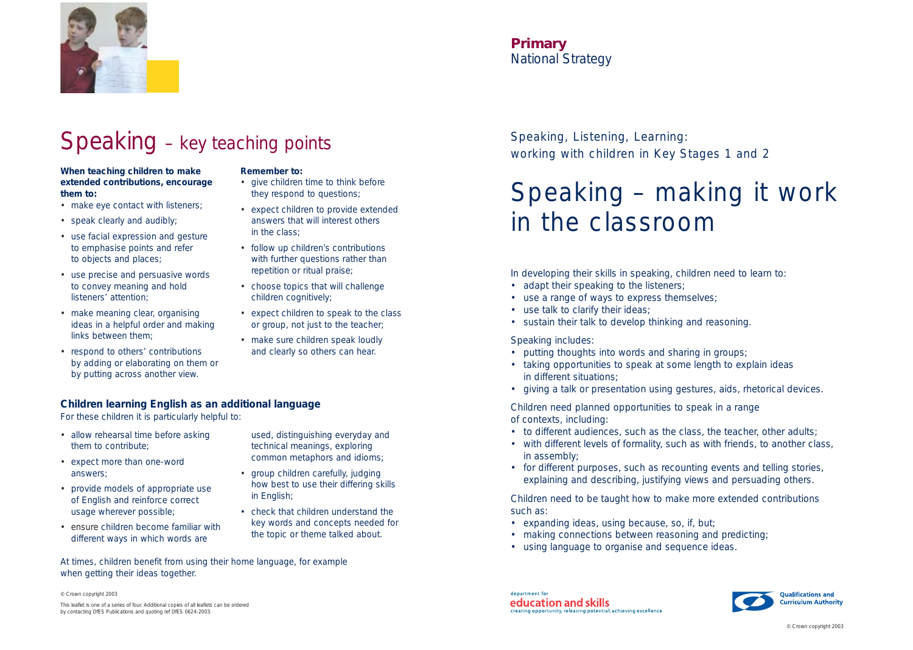Speaking, Listening, Learning: working with children in Key Stages 1 and 2

## Speaking – making it work in the classroom



#### **Primary** *National Strategy*

In developing their skills in speaking, children need to learn to:

- adapt their speaking to the listeners;
- use a range of ways to express themselves;
- use talk to clarify their ideas;
- sustain their talk to develop thinking and reasoning.

Speaking includes:

- to different audiences, such as the class, the teacher, other adults;
- with different levels of formality, such as with friends, to another class, in assembly;
- for different purposes, such as recounting events and telling stories, explaining and describing, justifying views and persuading others.
- putting thoughts into words and sharing in groups;
- taking opportunities to speak at some length to explain ideas in different situations;
- giving a talk or presentation using gestures, aids, rhetorical devices.

Children need planned opportunities to speak in a range of contexts, including:

Children need to be taught how to make more extended contributions such as:

- expanding ideas, using *because*, *so*, *if*, *but*;
- making connections between reasoning and predicting;
- using language to organise and sequence ideas.



### Speaking – key teaching points

© Crown copyright 2003

- allow rehearsal time before asking them to contribute;
- expect more than one-word answers;
- provide models of appropriate use of English and reinforce correct usage wherever possible;
- ensure children become familiar with different ways in which words are

This leaflet is one of a series of four. Additional copies of all leaflets can be ordered by contacting DfES Publications and quoting ref DfES 0624-2003.

#### **When teaching children to make extended contributions, encourage them to:**

- make eye contact with listeners;
- speak clearly and audibly;
- use facial expression and gesture to emphasise points and refer to objects and places;
- use precise and persuasive words to convey meaning and hold listeners' attention;
- make meaning clear, organising ideas in a helpful order and making links between them;
- respond to others' contributions by adding or elaborating on them or by putting across another view.

#### **Remember to:**

- give children time to think before they respond to questions;
- expect children to provide extended answers that will interest others in the class;
- follow up children's contributions with further questions rather than repetition or ritual praise;
- choose topics that will challenge children cognitively;
- expect children to speak to the class or group, not just to the teacher;
- make sure children speak loudly and clearly so others can hear.

used, distinguishing everyday and technical meanings, exploring common metaphors and idioms;

- group children carefully, judging how best to use their differing skills in English;
- check that children understand the key words and concepts needed for the topic or theme talked about.

#### **Children learning English as an additional language**

For these children it is particularly helpful to:

At times, children benefit from using their home language, for example when getting their ideas together.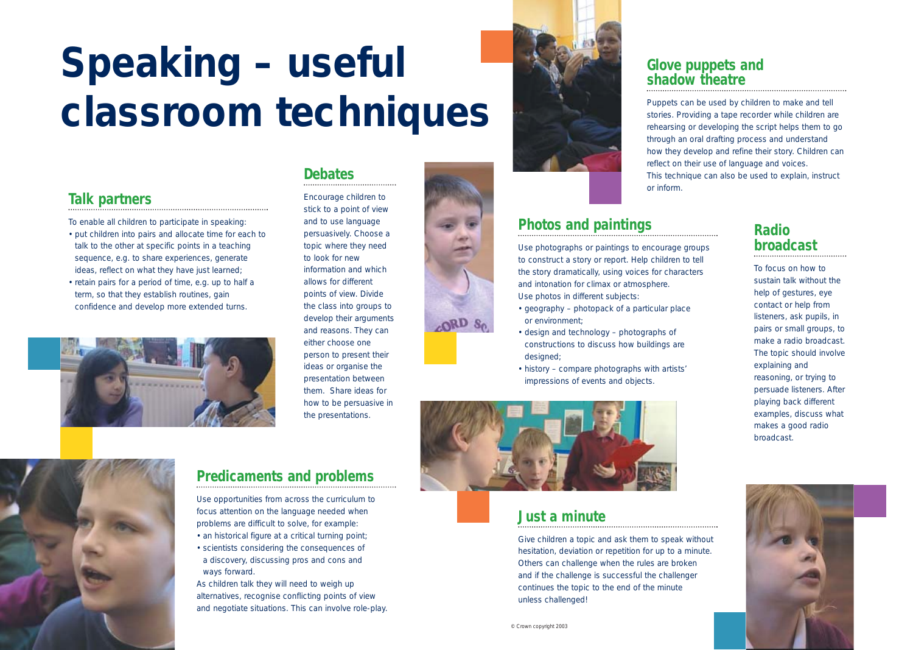# **Speaking – useful classroom techniques**

#### **Radio broadcast**

To focus on how to sustain talk without the help of gestures, eye contact or help from listeners, ask pupils, in pairs or small groups, to make a radio broadcast. The topic should involve explaining and reasoning, or trying to persuade listeners. After playing back different examples, discuss what makes a good radio broadcast.



#### **Talk partners**

To enable all children to participate in speaking:

- put children into pairs and allocate time for each to talk to the other at specific points in a teaching sequence, e.g. to share experiences, generate ideas, reflect on what they have just learned;
- retain pairs for a period of time, e.g. up to half a term, so that they establish routines, gain confidence and develop more extended turns.



#### **Predicaments and problems**

Use opportunities from across the curriculum to focus attention on the language needed when problems are difficult to solve, for example:

- an historical figure at a critical turning point;
- scientists considering the consequences of a discovery, discussing pros and cons and ways forward.

As children talk they will need to weigh up alternatives, recognise conflicting points of view and negotiate situations. This can involve role-play.





#### **Glove puppets and shadow theatre**

Puppets can be used by children to make and tell stories. Providing a tape recorder while children are rehearsing or developing the script helps them to go through an oral drafting process and understand how they develop and refine their story. Children can reflect on their use of language and voices. This technique can also be used to explain, instruct

or inform.

#### **Photos and paintings**

Use photographs or paintings to encourage groups to construct a story or report. Help children to tell the story dramatically, using voices for characters and intonation for climax or atmosphere. Use photos in different subjects:

- geography photopack of a particular place or environment;
- design and technology photographs of constructions to discuss how buildings are designed:
- history compare photographs with artists' impressions of events and objects.



#### **Debates**

Encourage children to stick to a point of view and to use language persuasively. Choose a topic where they need to look for new information and which allows for different points of view. Divide the class into groups to develop their arguments and reasons. They can either choose one person to present their ideas or organise the presentation between them. Share ideas for how to be persuasive in the presentations.



#### **Just a minute**

Give children a topic and ask them to speak without hesitation, deviation or repetition for up to a minute. Others can challenge when the rules are broken and if the challenge is successful the challenger continues the topic to the end of the minute unless challenged!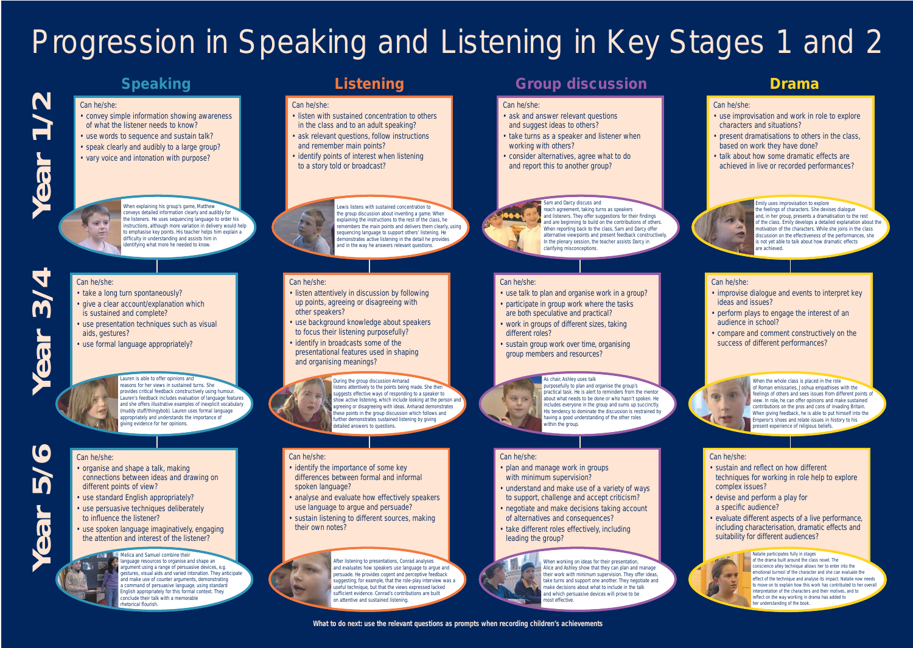#### Can he/she:

- use improvisation and work in role to explore characters and situations?
- present dramatisations to others in the class, based on work they have done?
- talk about how some dramatic effects are achieved in live or recorded performances?

#### **Listening Croup discussion Drama**

# Progression in Speaking and Listening in Key Stages 1 and 2

Can he/she:

- convey simple information showing awareness of what the listener needs to know?
- use words to sequence and sustain talk?
- speak clearly and audibly to a large group?
- vary voice and intonation with purpose?



#### Can he/she:

- take a long turn spontaneously?
- give a clear account/explanation which is sustained and complete?
- use presentation techniques such as visual aids, gestures?
- use formal language appropriately?

#### Can he/she:

- listen with sustained concentration to others in the class and to an adult speaking?
- ask relevant questions, follow instructions and remember main points?
- identify points of interest when listening to a story told or broadcast?



#### Can he/she:

- listen attentively in discussion by following up points, agreeing or disagreeing with other speakers?
- use background knowledge about speakers to focus their listening purposefully?
- identify in broadcasts some of the presentational features used in shaping and organising meanings?



#### Can he/she:

- identify the importance of some key differences between formal and informal spoken language?
- analyse and evaluate how effectively speakers use language to argue and persuade?
- sustain listening to different sources, making their own notes?

# **Year 1/2** BO

#### Can he/she:

# **Year 5/6** LQ **69**

- ask and answer relevant questions and suggest ideas to others?
- take turns as a speaker and listener when working with others?
- consider alternatives, agree what to do and report this to another group?



#### Can he/she:

- use talk to plan and organise work in a group?
- participate in group work where the tasks are both speculative and practical?
- work in groups of different sizes, taking different roles?
- sustain group work over time, organising group members and resources?

#### Can he/she:

**CRI (S)** 

- plan and manage work in groups with minimum supervision?
- understand and make use of a variety of ways to support, challenge and accept criticism?
- negotiate and make decisions taking account of alternatives and consequences?
- take different roles effectively, including leading the group?



#### Can he/she:

- improvise dialogue and events to interpret key ideas and issues?
- perform plays to engage the interest of an audience in school?
- compare and comment constructively on the success of different performances?



#### Can he/she:

- sustain and reflect on how different techniques for working in role help to explore complex issues?
- devise and perform a play for a specific audience?
- evaluate different aspects of a live performance, including characterisation, dramatic effects and suitability for different audiences?



#### Can he/she:

- organise and shape a talk, making connections between ideas and drawing on different points of view?
- use standard English appropriately?
- use persuasive techniques deliberately to influence the listener?
- use spoken language imaginatively, engaging the attention and interest of the listener?

#### **Melica and Samuel combine their**

#### **Speaking**

**Year 3/4**

**dar** 

m

When explaining his group's game, Matthew conveys detailed information clearly and audibly for the listeners. He uses sequencing language to order his instructions, although more variation in delivery would help to emphasise key points. His teacher helps him explain a difficulty in understanding and assists him in identifying what more he needed to know.

Lewis listens with sustained concentration to the group discussion about inventing a game. When explaining the instructions to the rest of the class, he remembers the main points and delivers them clearly, using sequencing language to support others' listening. He demonstrates active listening in the detail he provides and in the way he answers relevant questions.

During the group discussion Anharad listens attentively to the points being made. She then suggests effective ways of responding to a speaker to show active listening, which include looking at the person and agreeing or disagreeing with ideas. Anharad demonstrates these points in the group discussion which follows and further demonstrates sustained listening by giving detailed answers to questions.

After listening to presentations, Conrad analyses and evaluates how speakers use language to argue and persuade. He provides cogent and perceptive feedback suggesting, for example, that the role-play interview was a useful technique, but that the views expressed lacked sufficient evidence. Conrad's contributions are built on attentive and sustained listening.

When working on ideas for their presentation, Alice and Ashley show that they can plan and manage their work with minimum supervision. They offer ideas, take turns and support one another. They negotiate and make decisions about what to include in the talk and which persuasive devices will prove to be most effective.

When the whole class is placed in the role of Roman emissaries, Joshua empathises with the feelings of others and sees issues from different points of view. In role, he can offer opinions and make sustained contributions on the pros and cons of invading Britain. When giving feedback, he is able to put himself into the Emperor's shoes and relate issues in history to his present experience of religious beliefs.

language resources to organise and shape an argument using a range of persuasive devices, e.g. gestures, visual aids and varied intonation. They anticipate and make use of counter arguments, demonstrating a command of persuasive language, using standard English appropriately for this formal context. They conclude their talk with a memorable rhetorical flourish.

#### Sam and Darcy discuss and

reach agreement, taking turns as speakers and listeners. They offer suggestions for their findings and are beginning to build on the contributions of others. When reporting back to the class, Sam and Darcy offer alternative viewpoints and present feedback constructively. In the plenary session, the teacher assists Darcy in clarifying misconceptions.

#### Emily uses improvisation to explore

the feelings of characters. She devises dialogue and, in her group, presents a dramatisation to the rest of the class. Emily develops a detailed explanation about the motivation of the characters. While she joins in the class discussion on the effectiveness of the performances, she is not yet able to talk about how dramatic effects are achieved.

Lauren is able to offer opinions and reasons for her views in sustained turns. She provides critical feedback constructively using humour. Lauren's feedback includes evaluation of language features and she offers illustrative examples of inexplicit vocabulary (muddy stuff/thingybob). Lauren uses formal language appropriately and understands the importance of giving evidence for her opinions.

#### As chair, Ashley uses talk

purposefully to plan and organise the group's practical task. He is alert to reminders from the mentor about what needs to be done or who hasn't spoken. He includes everyone in the group and sums up succinctly. His tendency to dominate the discussion is restrained by having a good understanding of the other roles within the group.

#### Natalie participates fully in stages of the drama built around the class novel. The

conscience alley technique allows her to enter into the emotional turmoil of the character and she can evaluate the effect of the technique and analyse its impact. Natalie now needs to move on to explain how this work has contributed to her overall interpretation of the characters and their motives, and to reflect on the way working in drama has added to her understanding of the book.